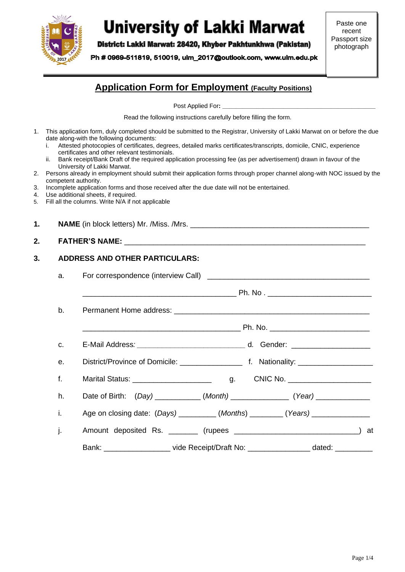

# **University of Lakki Marwat**

District: Lakki Marwat: 28420, Khyber Pakhtunkhwa (Pakistan)

Ph # 0969-511819, 510019, ulm 2017@outlook.com, www.ulm.edu.pk

Paste one recent Passport size photograph

# **Application Form for Employment (Faculty Positions)**

Post Applied For**: \_\_\_\_\_\_\_\_\_\_\_\_\_\_\_\_\_\_\_\_\_\_\_\_\_\_\_\_\_\_\_\_\_\_\_\_\_\_\_\_\_\_\_\_\_**

Read the following instructions carefully before filling the form.

- 1. This application form, duly completed should be submitted to the Registrar, University of Lakki Marwat on or before the due date along-with the following documents:
	- i. Attested photocopies of certificates, degrees, detailed marks certificates/transcripts, domicile, CNIC, experience certificates and other relevant testimonials.
	- ii. Bank receipt/Bank Draft of the required application processing fee (as per advertisement) drawn in favour of the University of Lakki Marwat.
- 2. Persons already in employment should submit their application forms through proper channel along-with NOC issued by the competent authority.
- 3. Incomplete application forms and those received after the due date will not be entertained.
- 4. Use additional sheets, if required.
- 5. Fill all the columns. Write N/A if not applicable

**1. NAME** (in block letters) Mr. /Miss. /Mrs. \_\_\_\_\_\_\_\_\_\_\_\_\_\_\_\_\_\_\_\_\_\_\_\_\_\_\_\_\_\_\_\_\_

### **2. FATHER'S NAME:** \_\_\_\_\_\_\_\_\_\_\_\_\_\_\_\_\_\_\_\_\_\_\_\_\_\_\_\_\_\_\_\_\_\_\_\_\_\_\_\_\_\_\_\_\_\_\_\_\_\_\_\_\_\_\_\_\_\_

#### **3. ADDRESS AND OTHER PARTICULARS:**

| е.                          |                                          |                                                                                    |  |  |  |  |  |
|-----------------------------|------------------------------------------|------------------------------------------------------------------------------------|--|--|--|--|--|
| $f_{\rm *}$                 | Marital Status: ________________________ |                                                                                    |  |  |  |  |  |
| h.                          |                                          | Date of Birth: (Day) ___________(Month) ______________(Year) ___________________   |  |  |  |  |  |
| $\mathbf{i}$ , $\mathbf{j}$ |                                          | Age on closing date: (Days) __________(Months) ________(Years) _________________   |  |  |  |  |  |
| j.                          |                                          | Amount deposited Rs. ________ (rupees ________________________________) at         |  |  |  |  |  |
|                             |                                          | Bank: ____________________vide Receipt/Draft No: _________________dated: _________ |  |  |  |  |  |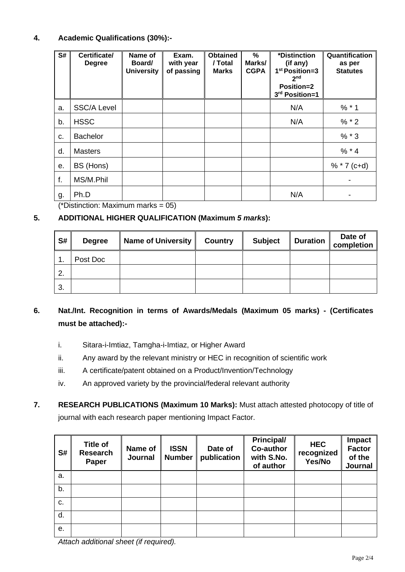## **4. Academic Qualifications (30%):-**

| S# | Certificate/<br><b>Degree</b> | Name of<br>Board/<br><b>University</b> | Exam.<br>with year<br>of passing | <b>Obtained</b><br>/ Total<br><b>Marks</b> | %<br>Marks/<br><b>CGPA</b> | *Distinction<br>(if any)<br>1 <sup>st</sup> Position=3<br>2 <sub>nd</sub><br><b>Position=2</b><br>3rd Position=1 | Quantification<br>as per<br><b>Statutes</b> |
|----|-------------------------------|----------------------------------------|----------------------------------|--------------------------------------------|----------------------------|------------------------------------------------------------------------------------------------------------------|---------------------------------------------|
| a. | <b>SSC/A Level</b>            |                                        |                                  |                                            |                            | N/A                                                                                                              | $% * 1$                                     |
| b. | <b>HSSC</b>                   |                                        |                                  |                                            |                            | N/A                                                                                                              | $% * 2$                                     |
| C. | <b>Bachelor</b>               |                                        |                                  |                                            |                            |                                                                                                                  | $% * 3$                                     |
| d. | <b>Masters</b>                |                                        |                                  |                                            |                            |                                                                                                                  | $% * 4$                                     |
| е. | BS (Hons)                     |                                        |                                  |                                            |                            |                                                                                                                  | $%$ * 7 (c+d)                               |
| f. | MS/M.Phil                     |                                        |                                  |                                            |                            |                                                                                                                  |                                             |
| g. | Ph.D                          |                                        |                                  |                                            |                            | N/A                                                                                                              |                                             |

(\*Distinction: Maximum marks =  $05$ )

## **5. ADDITIONAL HIGHER QUALIFICATION (Maximum** *5 marks***):**

| S# | <b>Degree</b> | <b>Name of University</b> | <b>Country</b> | <b>Subject</b> | <b>Duration</b> | Date of<br>completion |
|----|---------------|---------------------------|----------------|----------------|-----------------|-----------------------|
| 4  | Post Doc      |                           |                |                |                 |                       |
| 2. |               |                           |                |                |                 |                       |
| 3. |               |                           |                |                |                 |                       |

# **6. Nat./Int. Recognition in terms of Awards/Medals (Maximum 05 marks) - (Certificates must be attached):-**

- i. Sitara-i-Imtiaz, Tamgha-i-Imtiaz, or Higher Award
- ii. Any award by the relevant ministry or HEC in recognition of scientific work
- iii. A certificate/patent obtained on a Product/Invention/Technology
- iv. An approved variety by the provincial/federal relevant authority
- **7. RESEARCH PUBLICATIONS (Maximum 10 Marks):** Must attach attested photocopy of title of journal with each research paper mentioning Impact Factor.

| S# | <b>Title of</b><br><b>Research</b><br>Paper | Name of<br>Journal | <b>ISSN</b><br><b>Number</b> | Date of<br>publication | <b>Principal/</b><br><b>Co-author</b><br>with S.No.<br>of author | <b>HEC</b><br>recognized<br>Yes/No | Impact<br><b>Factor</b><br>of the<br>Journal |
|----|---------------------------------------------|--------------------|------------------------------|------------------------|------------------------------------------------------------------|------------------------------------|----------------------------------------------|
| a. |                                             |                    |                              |                        |                                                                  |                                    |                                              |
| b. |                                             |                    |                              |                        |                                                                  |                                    |                                              |
| C. |                                             |                    |                              |                        |                                                                  |                                    |                                              |
| d. |                                             |                    |                              |                        |                                                                  |                                    |                                              |
| е. |                                             |                    |                              |                        |                                                                  |                                    |                                              |

*Attach additional sheet (if required).*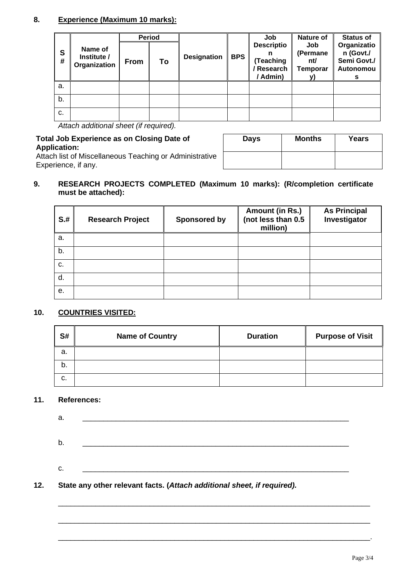## **8. Experience (Maximum 10 marks):**

|        |                                        | <b>Period</b> |    |                    |            | Job                                                           | Nature of                                 | <b>Status of</b>                                     |
|--------|----------------------------------------|---------------|----|--------------------|------------|---------------------------------------------------------------|-------------------------------------------|------------------------------------------------------|
| S<br># | Name of<br>Institute /<br>Organization | <b>From</b>   | To | <b>Designation</b> | <b>BPS</b> | <b>Descriptio</b><br>(Teaching<br><b>Research</b><br>/ Admin) | Job<br>(Permane<br>nt/<br><b>Temporar</b> | Organizatio<br>n (Govt./<br>Semi Govt./<br>Autonomou |
| a.     |                                        |               |    |                    |            |                                                               |                                           |                                                      |
| b.     |                                        |               |    |                    |            |                                                               |                                           |                                                      |
| C.     |                                        |               |    |                    |            |                                                               |                                           |                                                      |

*Attach additional sheet (if required).*

**Total Job Experience as on Closing Date of Application:** Attach list of Miscellaneous Teaching or Administrative Experience, if any.

| <b>Days</b> | <b>Months</b> | <b>Years</b> |
|-------------|---------------|--------------|
|             |               |              |

## **9. RESEARCH PROJECTS COMPLETED (Maximum 10 marks): (R/completion certificate must be attached):**

| $S+$ | <b>Research Project</b> | Sponsored by | Amount (in Rs.)<br>(not less than 0.5<br>million) | <b>As Principal</b><br>Investigator |
|------|-------------------------|--------------|---------------------------------------------------|-------------------------------------|
| a.   |                         |              |                                                   |                                     |
| b.   |                         |              |                                                   |                                     |
| c.   |                         |              |                                                   |                                     |
| d.   |                         |              |                                                   |                                     |
| е.   |                         |              |                                                   |                                     |

## **10. COUNTRIES VISITED:**

| S# | <b>Name of Country</b> | <b>Duration</b> | <b>Purpose of Visit</b> |
|----|------------------------|-----------------|-------------------------|
| а. |                        |                 |                         |
| b. |                        |                 |                         |
| C. |                        |                 |                         |

## **11. References:**

a. \_\_\_\_\_\_\_\_\_\_\_\_\_\_\_\_\_\_\_\_\_\_\_\_\_\_\_\_\_\_\_\_\_\_\_\_\_\_\_\_\_\_\_\_\_\_\_\_\_\_\_\_\_\_\_\_\_\_\_\_\_\_\_\_ b. \_\_\_\_\_\_\_\_\_\_\_\_\_\_\_\_\_\_\_\_\_\_\_\_\_\_\_\_\_\_\_\_\_\_\_\_\_\_\_\_\_\_\_\_\_\_\_\_\_\_\_\_\_\_\_\_\_\_\_\_\_\_\_\_ c. \_\_\_\_\_\_\_\_\_\_\_\_\_\_\_\_\_\_\_\_\_\_\_\_\_\_\_\_\_\_\_\_\_\_\_\_\_\_\_\_\_\_\_\_\_\_\_\_\_\_\_\_\_\_\_\_\_\_\_\_\_\_\_\_ **12. State any other relevant facts. (***Attach additional sheet, if required).*

\_\_\_\_\_\_\_\_\_\_\_\_\_\_\_\_\_\_\_\_\_\_\_\_\_\_\_\_\_\_\_\_\_\_\_\_\_\_\_\_\_\_\_\_\_\_\_\_\_\_\_\_\_\_\_\_\_\_\_\_\_\_\_\_\_\_\_\_\_\_\_\_\_\_\_

\_\_\_\_\_\_\_\_\_\_\_\_\_\_\_\_\_\_\_\_\_\_\_\_\_\_\_\_\_\_\_\_\_\_\_\_\_\_\_\_\_\_\_\_\_\_\_\_\_\_\_\_\_\_\_\_\_\_\_\_\_\_\_\_\_\_\_\_\_\_\_\_\_\_\_

\_\_\_\_\_\_\_\_\_\_\_\_\_\_\_\_\_\_\_\_\_\_\_\_\_\_\_\_\_\_\_\_\_\_\_\_\_\_\_\_\_\_\_\_\_\_\_\_\_\_\_\_\_\_\_\_\_\_\_\_\_\_\_\_\_\_\_\_\_\_\_\_\_\_\_.